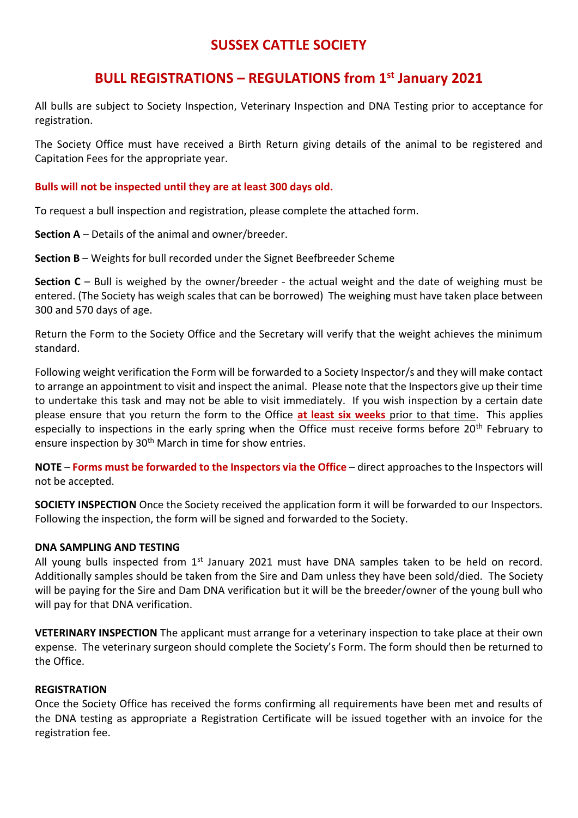# **SUSSEX CATTLE SOCIETY**

## **BULL REGISTRATIONS – REGULATIONS from 1st January 2021**

All bulls are subject to Society Inspection, Veterinary Inspection and DNA Testing prior to acceptance for registration.

The Society Office must have received a Birth Return giving details of the animal to be registered and Capitation Fees for the appropriate year.

#### **Bulls will not be inspected until they are at least 300 days old.**

To request a bull inspection and registration, please complete the attached form.

**Section A** – Details of the animal and owner/breeder.

**Section B** – Weights for bull recorded under the Signet Beefbreeder Scheme

**Section C** – Bull is weighed by the owner/breeder - the actual weight and the date of weighing must be entered. (The Society has weigh scales that can be borrowed) The weighing must have taken place between 300 and 570 days of age.

Return the Form to the Society Office and the Secretary will verify that the weight achieves the minimum standard.

Following weight verification the Form will be forwarded to a Society Inspector/s and they will make contact to arrange an appointment to visit and inspect the animal. Please note that the Inspectors give up their time to undertake this task and may not be able to visit immediately. If you wish inspection by a certain date please ensure that you return the form to the Office **at least six weeks** prior to that time. This applies especially to inspections in the early spring when the Office must receive forms before 20<sup>th</sup> February to ensure inspection by 30<sup>th</sup> March in time for show entries.

**NOTE** – **Forms must be forwarded to the Inspectors via the Office** – direct approaches to the Inspectors will not be accepted.

**SOCIETY INSPECTION** Once the Society received the application form it will be forwarded to our Inspectors. Following the inspection, the form will be signed and forwarded to the Society.

#### **DNA SAMPLING AND TESTING**

All young bulls inspected from  $1<sup>st</sup>$  January 2021 must have DNA samples taken to be held on record. Additionally samples should be taken from the Sire and Dam unless they have been sold/died. The Society will be paying for the Sire and Dam DNA verification but it will be the breeder/owner of the young bull who will pay for that DNA verification.

**VETERINARY INSPECTION** The applicant must arrange for a veterinary inspection to take place at their own expense. The veterinary surgeon should complete the Society's Form. The form should then be returned to the Office.

#### **REGISTRATION**

Once the Society Office has received the forms confirming all requirements have been met and results of the DNA testing as appropriate a Registration Certificate will be issued together with an invoice for the registration fee.